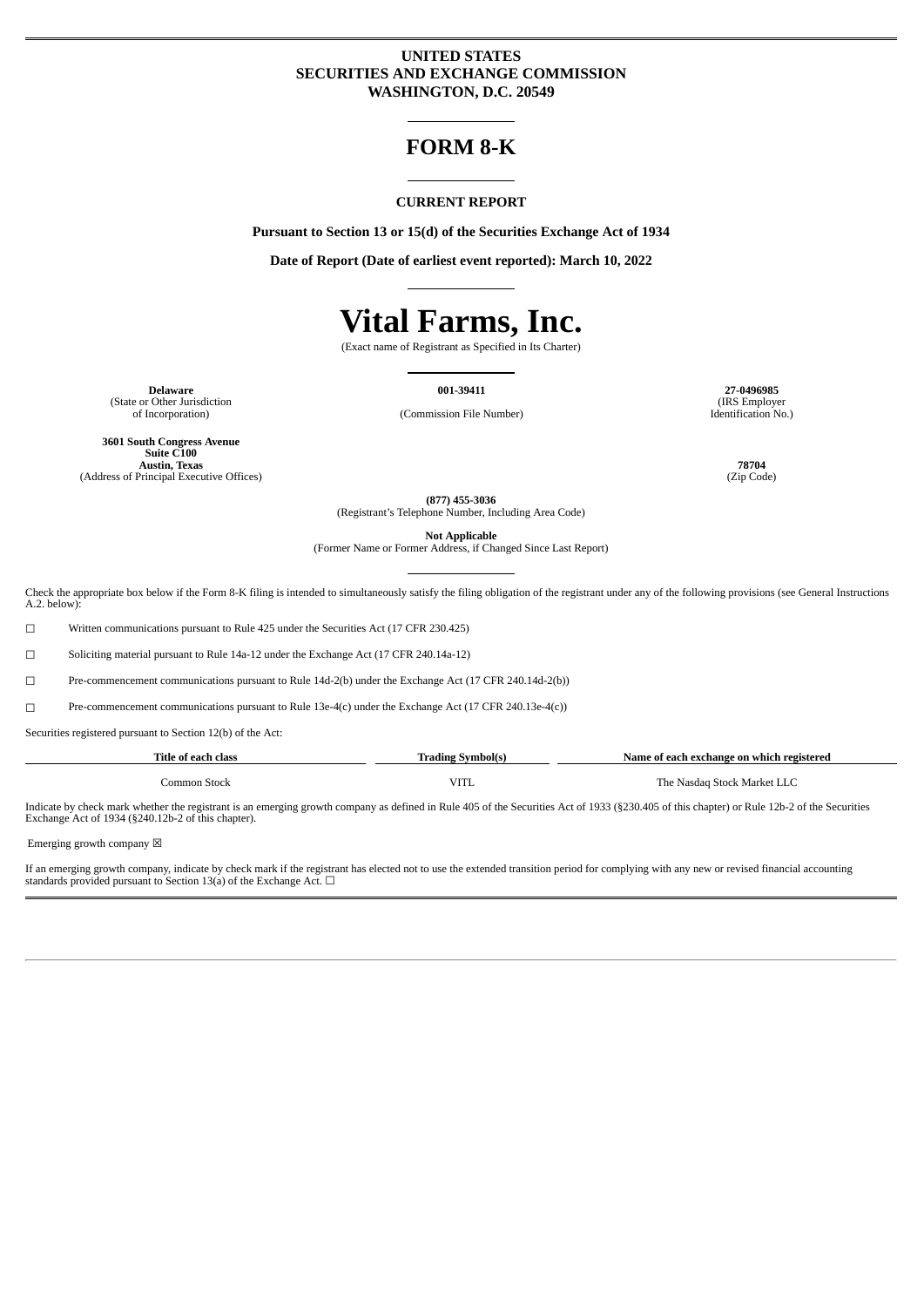# **UNITED STATES SECURITIES AND EXCHANGE COMMISSION WASHINGTON, D.C. 20549**

# **FORM 8-K**

#### **CURRENT REPORT**

**Pursuant to Section 13 or 15(d) of the Securities Exchange Act of 1934**

**Date of Report (Date of earliest event reported): March 10, 2022**

# **Vital Farms, Inc.**

(Exact name of Registrant as Specified in Its Charter)

**Delaware 001-39411 27-0496985** (State or Other Jurisdiction<br>of Incorporation)

(Commission File Number)

**3601 South Congress Avenue Suite C100 Austin, Texas 78704** (Address of Principal Executive Offices)

(IRS Employer Identification No.)

**(877) 455-3036** (Registrant's Telephone Number, Including Area Code)

**Not Applicable**

(Former Name or Former Address, if Changed Since Last Report)

Check the appropriate box below if the Form 8-K filing is intended to simultaneously satisfy the filing obligation of the registrant under any of the following provisions (see General Instructions A.2. below):

☐ Written communications pursuant to Rule 425 under the Securities Act (17 CFR 230.425)

☐ Soliciting material pursuant to Rule 14a-12 under the Exchange Act (17 CFR 240.14a-12)

☐ Pre-commencement communications pursuant to Rule 14d-2(b) under the Exchange Act (17 CFR 240.14d-2(b))

☐ Pre-commencement communications pursuant to Rule 13e-4(c) under the Exchange Act (17 CFR 240.13e-4(c))

Securities registered pursuant to Section 12(b) of the Act:

| Title of each class | Trading Symbol(s) | Name of each exchange on which registered |
|---------------------|-------------------|-------------------------------------------|
| Common Stock        | <b>VITL</b>       | The Nasdag Stock Market LLC               |

Indicate by check mark whether the registrant is an emerging growth company as defined in Rule 405 of the Securities Act of 1933 (§230.405 of this chapter) or Rule 12b-2 of the Securities Exchange Act of 1934 (§240.12b-2 of this chapter).

Emerging growth company  $\boxtimes$ 

If an emerging growth company, indicate by check mark if the registrant has elected not to use the extended transition period for complying with any new or revised financial accounting standards provided pursuant to Section 13(a) of the Exchange Act.  $\Box$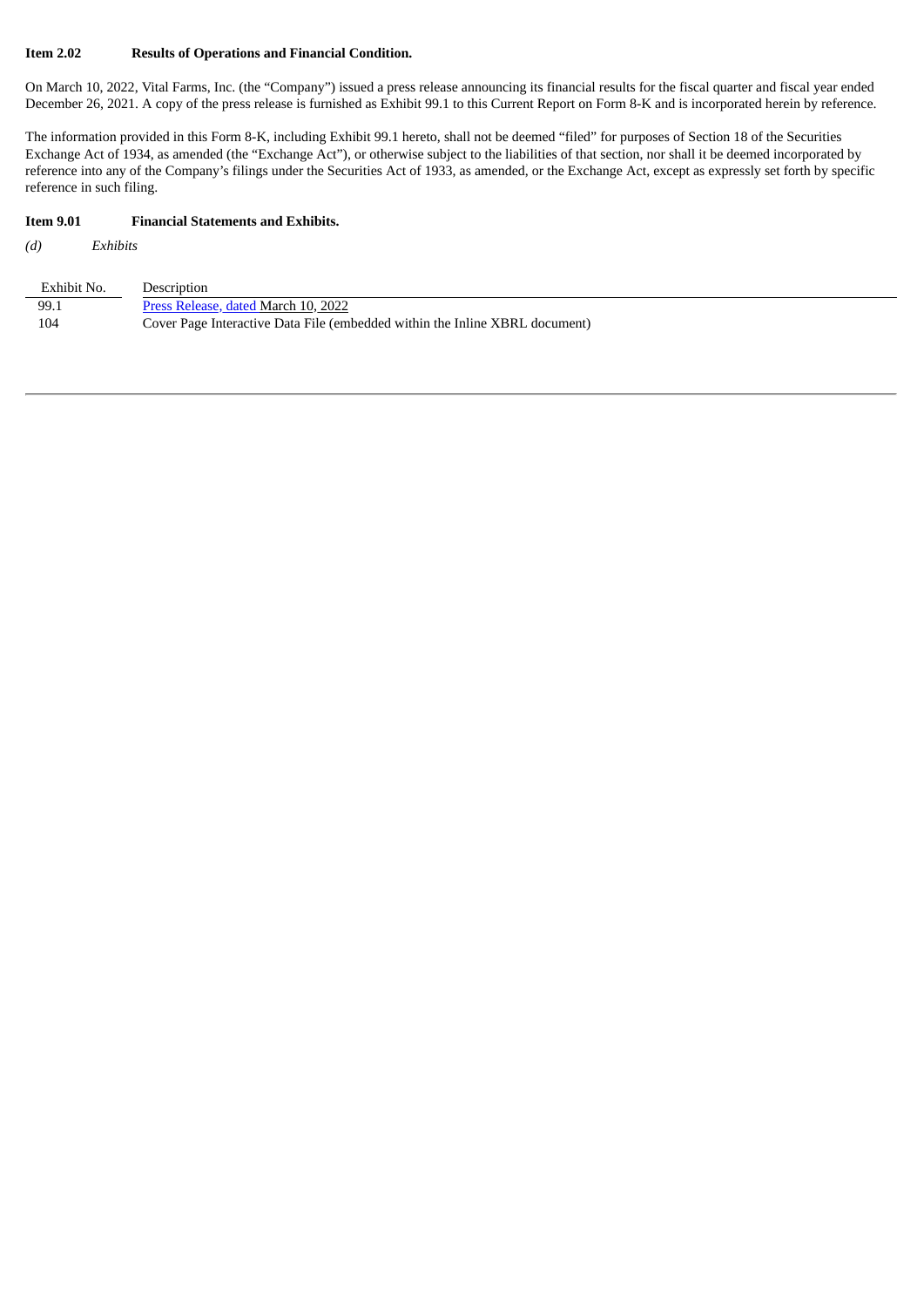#### **Item 2.02 Results of Operations and Financial Condition.**

On March 10, 2022, Vital Farms, Inc. (the "Company") issued a press release announcing its financial results for the fiscal quarter and fiscal year ended December 26, 2021. A copy of the press release is furnished as Exhibit 99.1 to this Current Report on Form 8-K and is incorporated herein by reference.

The information provided in this Form 8-K, including Exhibit 99.1 hereto, shall not be deemed "filed" for purposes of Section 18 of the Securities Exchange Act of 1934, as amended (the "Exchange Act"), or otherwise subject to the liabilities of that section, nor shall it be deemed incorporated by reference into any of the Company's filings under the Securities Act of 1933, as amended, or the Exchange Act, except as expressly set forth by specific reference in such filing.

#### **Item 9.01 Financial Statements and Exhibits.**

*(d) Exhibits*

| Exhibit No. | Description                                                                 |
|-------------|-----------------------------------------------------------------------------|
| 99.1        | Press Release, dated March 10, 2022                                         |
| 104         | Cover Page Interactive Data File (embedded within the Inline XBRL document) |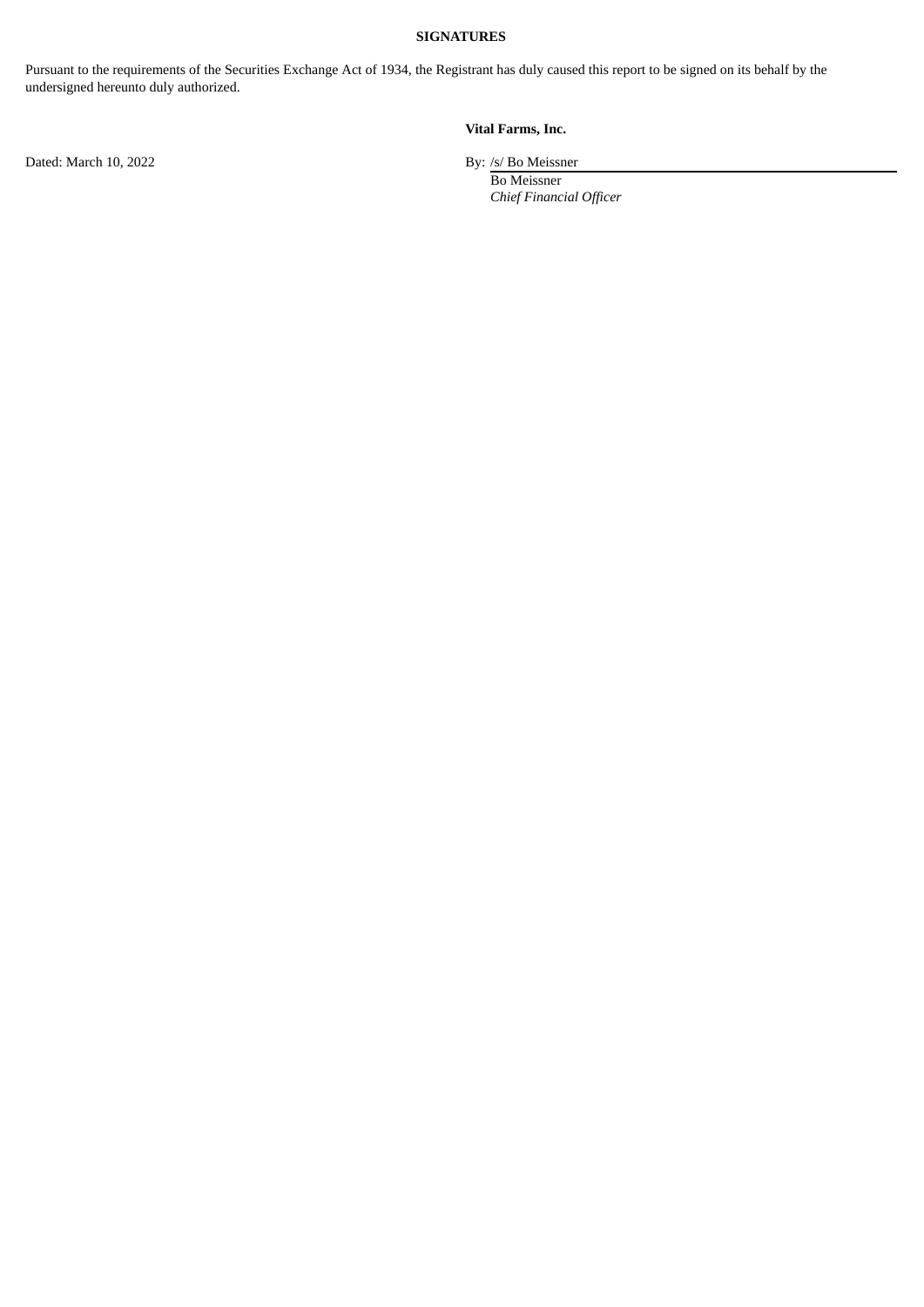### **SIGNATURES**

Pursuant to the requirements of the Securities Exchange Act of 1934, the Registrant has duly caused this report to be signed on its behalf by the undersigned hereunto duly authorized.

# **Vital Farms, Inc.**

Dated: March 10, 2022 By: /s/ Bo Meissner

Bo Meissner *Chief Financial Officer*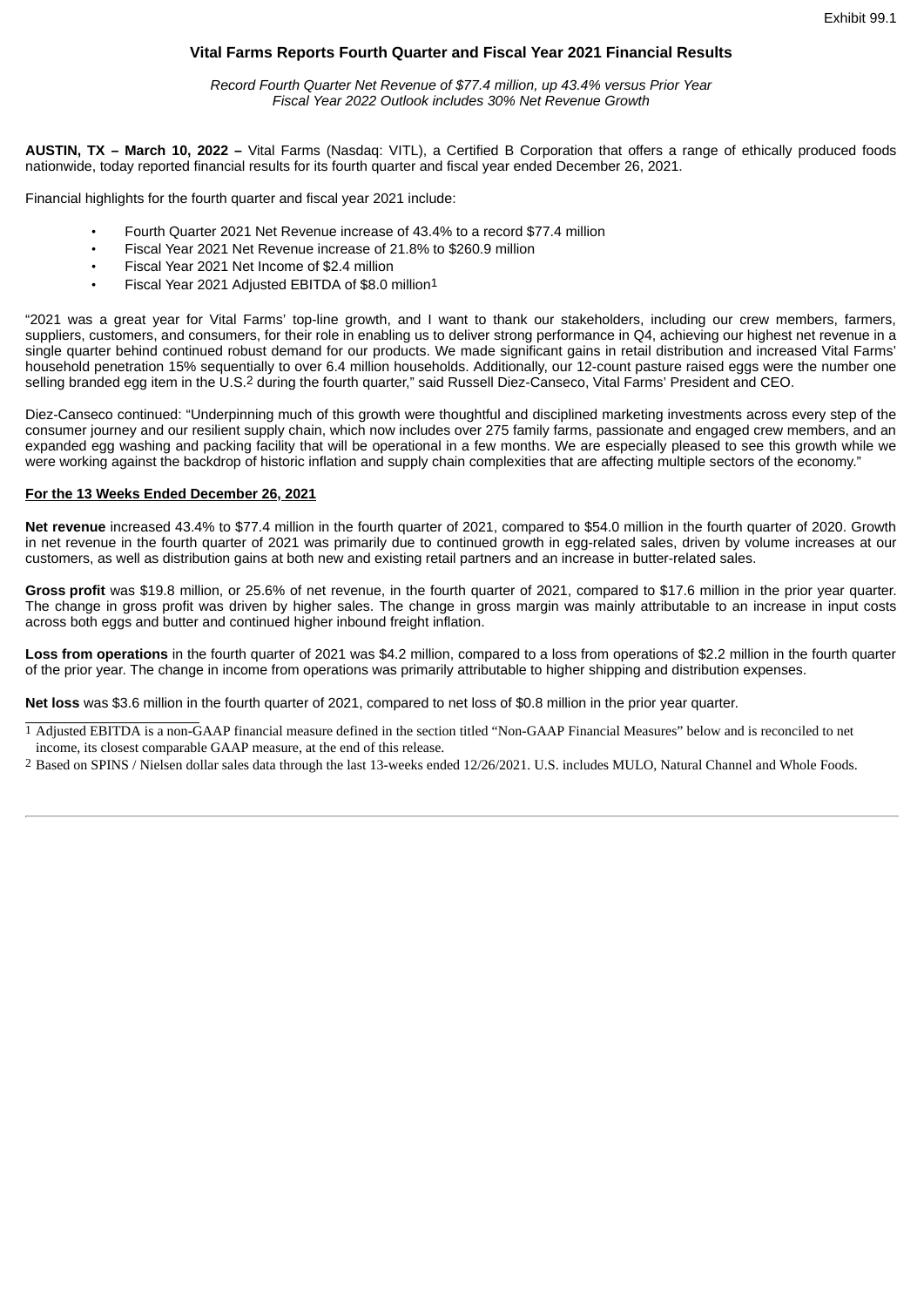# **Vital Farms Reports Fourth Quarter and Fiscal Year 2021 Financial Results**

*Record Fourth Quarter Net Revenue of \$77.4 million, up 43.4% versus Prior Year Fiscal Year 2022 Outlook includes 30% Net Revenue Growth*

<span id="page-3-0"></span>**AUSTIN, TX – March 10, 2022 –** Vital Farms (Nasdaq: VITL), a Certified B Corporation that offers a range of ethically produced foods nationwide, today reported financial results for its fourth quarter and fiscal year ended December 26, 2021.

Financial highlights for the fourth quarter and fiscal year 2021 include:

- Fourth Quarter 2021 Net Revenue increase of 43.4% to a record \$77.4 million
- Fiscal Year 2021 Net Revenue increase of 21.8% to \$260.9 million
- Fiscal Year 2021 Net Income of \$2.4 million
- Fiscal Year 2021 Adjusted EBITDA of \$8.0 million1

"2021 was a great year for Vital Farms' top-line growth, and I want to thank our stakeholders, including our crew members, farmers, suppliers, customers, and consumers, for their role in enabling us to deliver strong performance in Q4, achieving our highest net revenue in a single quarter behind continued robust demand for our products. We made significant gains in retail distribution and increased Vital Farms' household penetration 15% sequentially to over 6.4 million households. Additionally, our 12-count pasture raised eggs were the number one selling branded egg item in the U.S.2 during the fourth quarter," said Russell Diez-Canseco, Vital Farms' President and CEO.

Diez-Canseco continued: "Underpinning much of this growth were thoughtful and disciplined marketing investments across every step of the consumer journey and our resilient supply chain, which now includes over 275 family farms, passionate and engaged crew members, and an expanded egg washing and packing facility that will be operational in a few months. We are especially pleased to see this growth while we were working against the backdrop of historic inflation and supply chain complexities that are affecting multiple sectors of the economy."

#### **For the 13 Weeks Ended December 26, 2021**

**Net revenue** increased 43.4% to \$77.4 million in the fourth quarter of 2021, compared to \$54.0 million in the fourth quarter of 2020. Growth in net revenue in the fourth quarter of 2021 was primarily due to continued growth in egg-related sales, driven by volume increases at our customers, as well as distribution gains at both new and existing retail partners and an increase in butter-related sales.

**Gross profit** was \$19.8 million, or 25.6% of net revenue, in the fourth quarter of 2021, compared to \$17.6 million in the prior year quarter. The change in gross profit was driven by higher sales. The change in gross margin was mainly attributable to an increase in input costs across both eggs and butter and continued higher inbound freight inflation.

**Loss from operations** in the fourth quarter of 2021 was \$4.2 million, compared to a loss from operations of \$2.2 million in the fourth quarter of the prior year. The change in income from operations was primarily attributable to higher shipping and distribution expenses.

**Net loss** was \$3.6 million in the fourth quarter of 2021, compared to net loss of \$0.8 million in the prior year quarter.

1 Adjusted EBITDA is a non-GAAP financial measure defined in the section titled "Non-GAAP Financial Measures" below and is reconciled to net income, its closest comparable GAAP measure, at the end of this release.

2 Based on SPINS / Nielsen dollar sales data through the last 13-weeks ended 12/26/2021. U.S. includes MULO, Natural Channel and Whole Foods.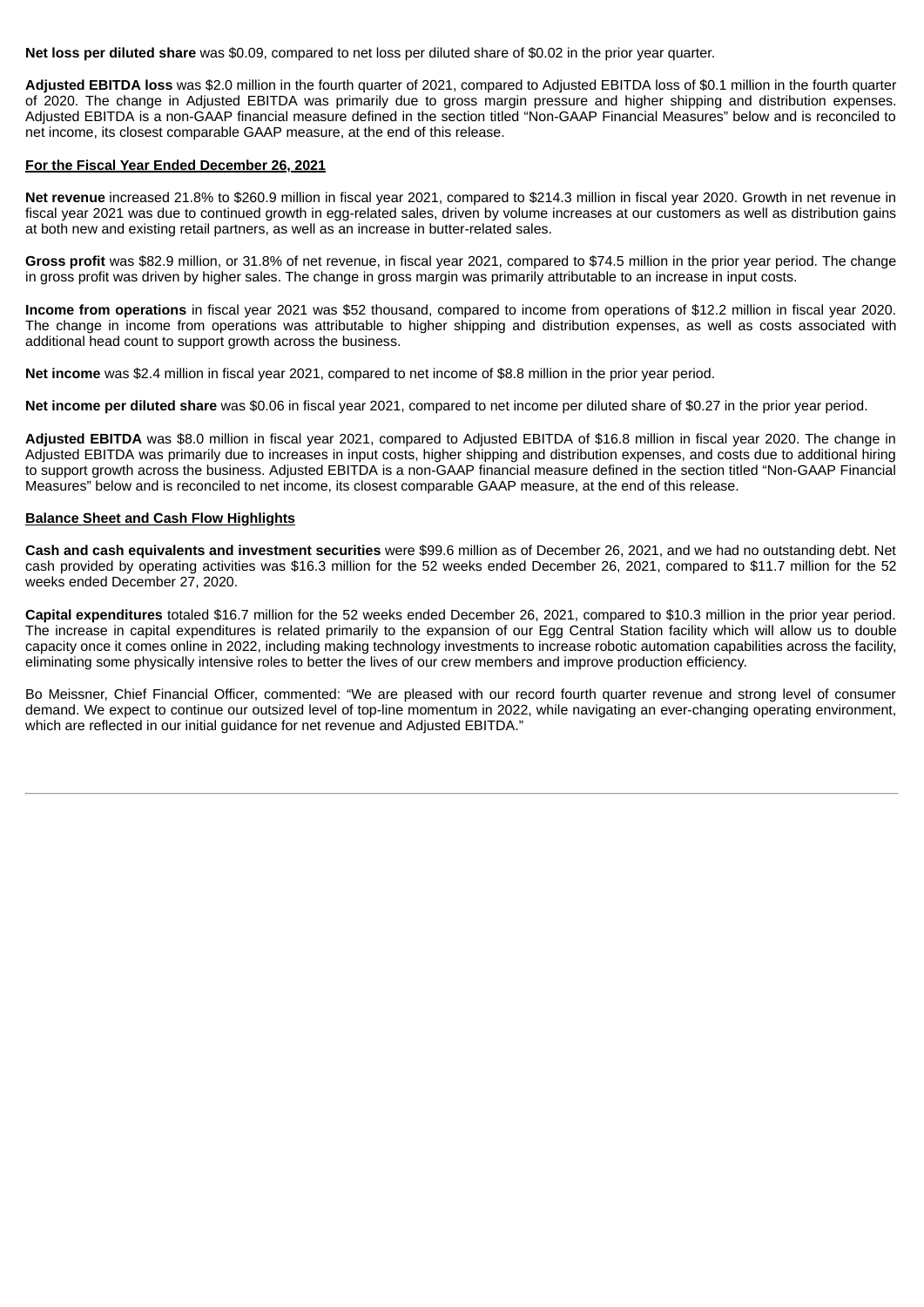**Net loss per diluted share** was \$0.09, compared to net loss per diluted share of \$0.02 in the prior year quarter.

**Adjusted EBITDA loss** was \$2.0 million in the fourth quarter of 2021, compared to Adjusted EBITDA loss of \$0.1 million in the fourth quarter of 2020. The change in Adjusted EBITDA was primarily due to gross margin pressure and higher shipping and distribution expenses. Adjusted EBITDA is a non-GAAP financial measure defined in the section titled "Non-GAAP Financial Measures" below and is reconciled to net income, its closest comparable GAAP measure, at the end of this release.

#### **For the Fiscal Year Ended December 26, 2021**

**Net revenue** increased 21.8% to \$260.9 million in fiscal year 2021, compared to \$214.3 million in fiscal year 2020. Growth in net revenue in fiscal year 2021 was due to continued growth in egg-related sales, driven by volume increases at our customers as well as distribution gains at both new and existing retail partners, as well as an increase in butter-related sales.

**Gross profit** was \$82.9 million, or 31.8% of net revenue, in fiscal year 2021, compared to \$74.5 million in the prior year period. The change in gross profit was driven by higher sales. The change in gross margin was primarily attributable to an increase in input costs.

**Income from operations** in fiscal year 2021 was \$52 thousand, compared to income from operations of \$12.2 million in fiscal year 2020. The change in income from operations was attributable to higher shipping and distribution expenses, as well as costs associated with additional head count to support growth across the business.

**Net income** was \$2.4 million in fiscal year 2021, compared to net income of \$8.8 million in the prior year period.

**Net income per diluted share** was \$0.06 in fiscal year 2021, compared to net income per diluted share of \$0.27 in the prior year period.

**Adjusted EBITDA** was \$8.0 million in fiscal year 2021, compared to Adjusted EBITDA of \$16.8 million in fiscal year 2020. The change in Adjusted EBITDA was primarily due to increases in input costs, higher shipping and distribution expenses, and costs due to additional hiring to support growth across the business. Adjusted EBITDA is a non-GAAP financial measure defined in the section titled "Non-GAAP Financial Measures" below and is reconciled to net income, its closest comparable GAAP measure, at the end of this release.

#### **Balance Sheet and Cash Flow Highlights**

**Cash and cash equivalents and investment securities** were \$99.6 million as of December 26, 2021, and we had no outstanding debt. Net cash provided by operating activities was \$16.3 million for the 52 weeks ended December 26, 2021, compared to \$11.7 million for the 52 weeks ended December 27, 2020.

**Capital expenditures** totaled \$16.7 million for the 52 weeks ended December 26, 2021, compared to \$10.3 million in the prior year period. The increase in capital expenditures is related primarily to the expansion of our Egg Central Station facility which will allow us to double capacity once it comes online in 2022, including making technology investments to increase robotic automation capabilities across the facility, eliminating some physically intensive roles to better the lives of our crew members and improve production efficiency.

Bo Meissner, Chief Financial Officer, commented: "We are pleased with our record fourth quarter revenue and strong level of consumer demand. We expect to continue our outsized level of top-line momentum in 2022, while navigating an ever-changing operating environment, which are reflected in our initial guidance for net revenue and Adjusted EBITDA."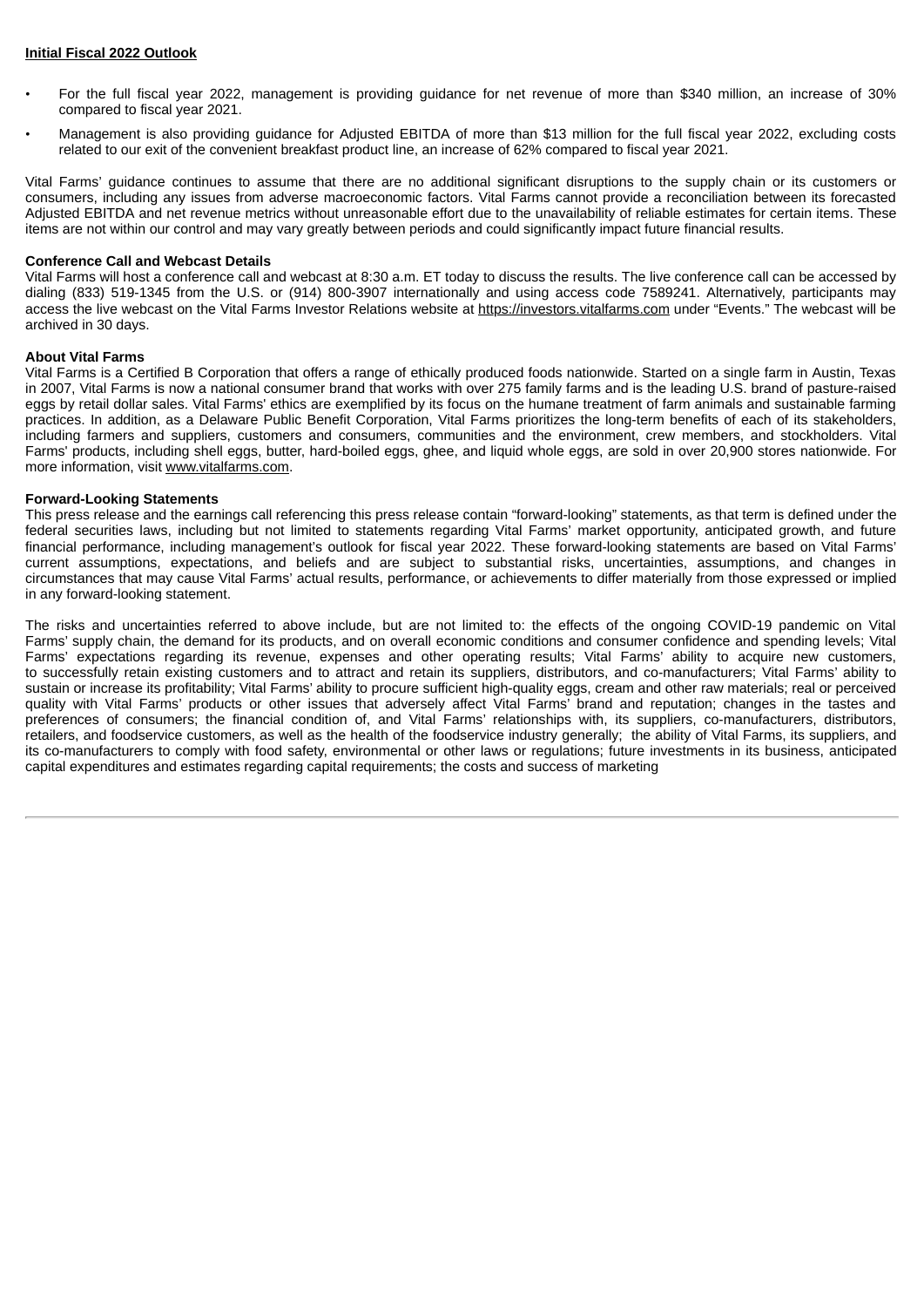#### **Initial Fiscal 2022 Outlook**

- For the full fiscal year 2022, management is providing guidance for net revenue of more than \$340 million, an increase of 30% compared to fiscal year 2021.
- Management is also providing guidance for Adjusted EBITDA of more than \$13 million for the full fiscal year 2022, excluding costs related to our exit of the convenient breakfast product line, an increase of 62% compared to fiscal year 2021.

Vital Farms' guidance continues to assume that there are no additional significant disruptions to the supply chain or its customers or consumers, including any issues from adverse macroeconomic factors. Vital Farms cannot provide a reconciliation between its forecasted Adjusted EBITDA and net revenue metrics without unreasonable effort due to the unavailability of reliable estimates for certain items. These items are not within our control and may vary greatly between periods and could significantly impact future financial results.

#### **Conference Call and Webcast Details**

Vital Farms will host a conference call and webcast at 8:30 a.m. ET today to discuss the results. The live conference call can be accessed by dialing (833) 519-1345 from the U.S. or (914) 800-3907 internationally and using access code 7589241. Alternatively, participants may access the live webcast on the Vital Farms Investor Relations website at https://investors.vitalfarms.com under "Events." The webcast will be archived in 30 days.

#### **About Vital Farms**

Vital Farms is a Certified B Corporation that offers a range of ethically produced foods nationwide. Started on a single farm in Austin, Texas in 2007, Vital Farms is now a national consumer brand that works with over 275 family farms and is the leading U.S. brand of pasture-raised eggs by retail dollar sales. Vital Farms' ethics are exemplified by its focus on the humane treatment of farm animals and sustainable farming practices. In addition, as a Delaware Public Benefit Corporation, Vital Farms prioritizes the long-term benefits of each of its stakeholders, including farmers and suppliers, customers and consumers, communities and the environment, crew members, and stockholders. Vital Farms' products, including shell eggs, butter, hard-boiled eggs, ghee, and liquid whole eggs, are sold in over 20,900 stores nationwide. For more information, visit www.vitalfarms.com.

#### **Forward-Looking Statements**

This press release and the earnings call referencing this press release contain "forward-looking" statements, as that term is defined under the federal securities laws, including but not limited to statements regarding Vital Farms' market opportunity, anticipated growth, and future financial performance, including management's outlook for fiscal year 2022. These forward-looking statements are based on Vital Farms' current assumptions, expectations, and beliefs and are subject to substantial risks, uncertainties, assumptions, and changes in circumstances that may cause Vital Farms' actual results, performance, or achievements to differ materially from those expressed or implied in any forward-looking statement.

The risks and uncertainties referred to above include, but are not limited to: the effects of the ongoing COVID-19 pandemic on Vital Farms' supply chain, the demand for its products, and on overall economic conditions and consumer confidence and spending levels; Vital Farms' expectations regarding its revenue, expenses and other operating results; Vital Farms' ability to acquire new customers, to successfully retain existing customers and to attract and retain its suppliers, distributors, and co-manufacturers; Vital Farms' ability to sustain or increase its profitability; Vital Farms' ability to procure sufficient high-quality eggs, cream and other raw materials; real or perceived quality with Vital Farms' products or other issues that adversely affect Vital Farms' brand and reputation; changes in the tastes and preferences of consumers; the financial condition of, and Vital Farms' relationships with, its suppliers, co-manufacturers, distributors, retailers, and foodservice customers, as well as the health of the foodservice industry generally; the ability of Vital Farms, its suppliers, and its co-manufacturers to comply with food safety, environmental or other laws or regulations; future investments in its business, anticipated capital expenditures and estimates regarding capital requirements; the costs and success of marketing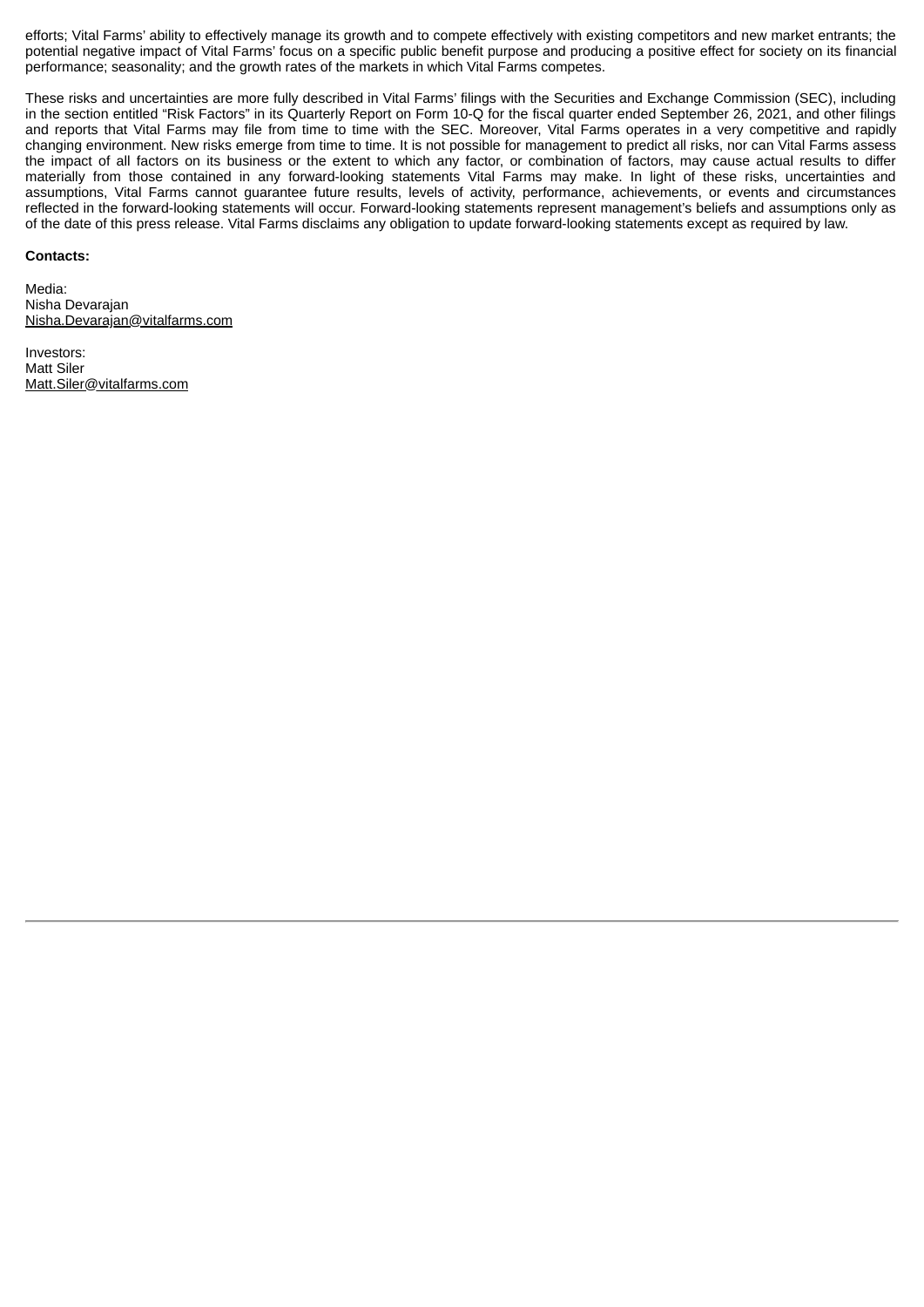efforts; Vital Farms' ability to effectively manage its growth and to compete effectively with existing competitors and new market entrants; the potential negative impact of Vital Farms' focus on a specific public benefit purpose and producing a positive effect for society on its financial performance; seasonality; and the growth rates of the markets in which Vital Farms competes.

These risks and uncertainties are more fully described in Vital Farms' filings with the Securities and Exchange Commission (SEC), including in the section entitled "Risk Factors" in its Quarterly Report on Form 10-Q for the fiscal quarter ended September 26, 2021, and other filings and reports that Vital Farms may file from time to time with the SEC. Moreover, Vital Farms operates in a very competitive and rapidly changing environment. New risks emerge from time to time. It is not possible for management to predict all risks, nor can Vital Farms assess the impact of all factors on its business or the extent to which any factor, or combination of factors, may cause actual results to differ materially from those contained in any forward-looking statements Vital Farms may make. In light of these risks, uncertainties and assumptions, Vital Farms cannot guarantee future results, levels of activity, performance, achievements, or events and circumstances reflected in the forward-looking statements will occur. Forward-looking statements represent management's beliefs and assumptions only as of the date of this press release. Vital Farms disclaims any obligation to update forward-looking statements except as required by law.

#### **Contacts:**

Media: Nisha Devarajan Nisha.Devarajan@vitalfarms.com

Investors: Matt Siler Matt.Siler@vitalfarms.com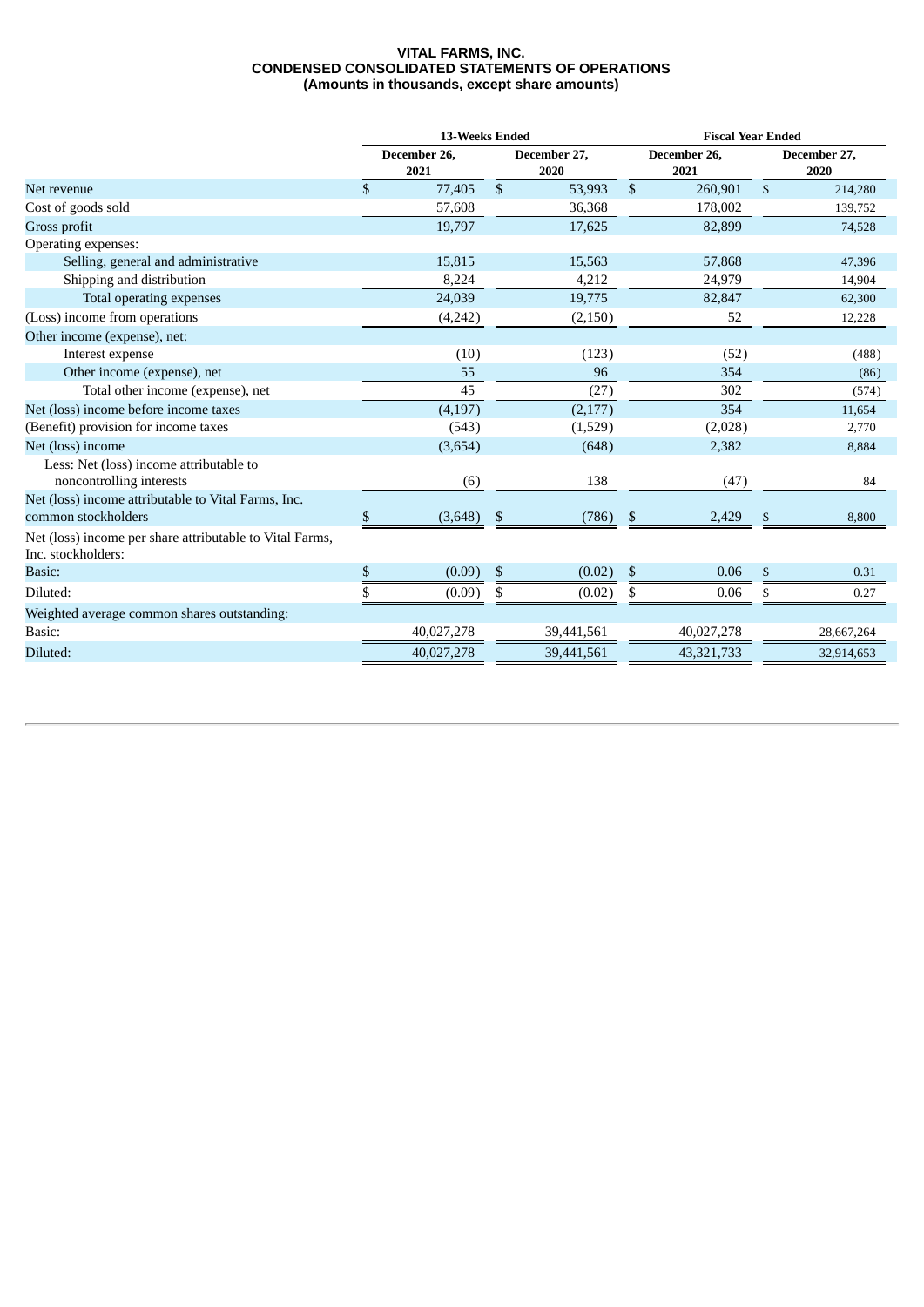#### **VITAL FARMS, INC. CONDENSED CONSOLIDATED STATEMENTS OF OPERATIONS (Amounts in thousands, except share amounts)**

|                                                                                | 13-Weeks Ended       |              |                      | <b>Fiscal Year Ended</b> |                      |                |                      |  |  |
|--------------------------------------------------------------------------------|----------------------|--------------|----------------------|--------------------------|----------------------|----------------|----------------------|--|--|
|                                                                                | December 26,<br>2021 |              | December 27,<br>2020 |                          | December 26,<br>2021 |                | December 27,<br>2020 |  |  |
| Net revenue                                                                    | \$<br>77,405         | $\mathbb{S}$ | 53,993               | \$                       | 260,901              | $\mathfrak{S}$ | 214,280              |  |  |
| Cost of goods sold                                                             | 57,608               |              | 36,368               |                          | 178,002              |                | 139,752              |  |  |
| Gross profit                                                                   | 19,797               |              | 17,625               |                          | 82,899               |                | 74,528               |  |  |
| Operating expenses:                                                            |                      |              |                      |                          |                      |                |                      |  |  |
| Selling, general and administrative                                            | 15,815               |              | 15,563               |                          | 57,868               |                | 47,396               |  |  |
| Shipping and distribution                                                      | 8,224                |              | 4,212                |                          | 24,979               |                | 14,904               |  |  |
| Total operating expenses                                                       | 24,039               |              | 19,775               |                          | 82,847               |                | 62,300               |  |  |
| (Loss) income from operations                                                  | (4,242)              |              | (2, 150)             |                          | 52                   |                | 12,228               |  |  |
| Other income (expense), net:                                                   |                      |              |                      |                          |                      |                |                      |  |  |
| Interest expense                                                               | (10)                 |              | (123)                |                          | (52)                 |                | (488)                |  |  |
| Other income (expense), net                                                    | 55                   |              | 96                   |                          | 354                  |                | (86)                 |  |  |
| Total other income (expense), net                                              | 45                   |              | (27)                 |                          | 302                  |                | (574)                |  |  |
| Net (loss) income before income taxes                                          | (4, 197)             |              | (2,177)              |                          | 354                  |                | 11,654               |  |  |
| (Benefit) provision for income taxes                                           | (543)                |              | (1,529)              |                          | (2,028)              |                | 2,770                |  |  |
| Net (loss) income                                                              | (3,654)              |              | (648)                |                          | 2,382                |                | 8,884                |  |  |
| Less: Net (loss) income attributable to<br>noncontrolling interests            | (6)                  |              | 138                  |                          | (47)                 |                | 84                   |  |  |
| Net (loss) income attributable to Vital Farms, Inc.<br>common stockholders     | \$<br>(3,648)        | -\$          | (786)                | -\$                      | 2,429                | \$             | 8,800                |  |  |
| Net (loss) income per share attributable to Vital Farms,<br>Inc. stockholders: |                      |              |                      |                          |                      |                |                      |  |  |
| Basic:                                                                         | \$<br>(0.09)         | \$           | (0.02)               | \$                       | 0.06                 | \$             | 0.31                 |  |  |
| Diluted:                                                                       | (0.09)               | \$           | (0.02)               | \$                       | 0.06                 | \$             | 0.27                 |  |  |
| Weighted average common shares outstanding:                                    |                      |              |                      |                          |                      |                |                      |  |  |
| Basic:                                                                         | 40,027,278           |              | 39,441,561           |                          | 40,027,278           |                | 28,667,264           |  |  |
| Diluted:                                                                       | 40,027,278           |              | 39,441,561           |                          | 43,321,733           |                | 32,914,653           |  |  |
|                                                                                |                      |              |                      |                          |                      |                |                      |  |  |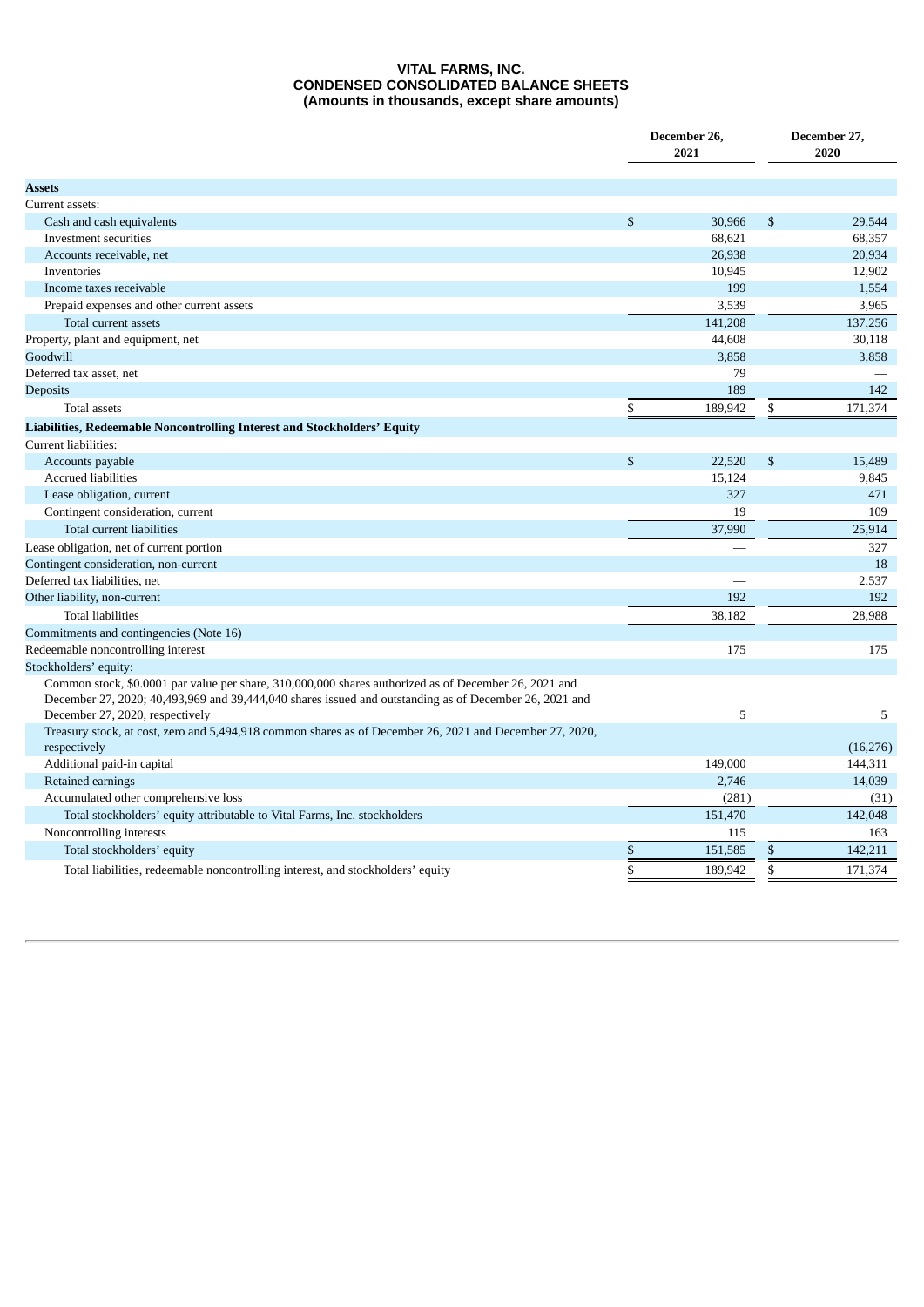#### **VITAL FARMS, INC. CONDENSED CONSOLIDATED BALANCE SHEETS (Amounts in thousands, except share amounts)**

|                                                                                                                                                                                                                                                    |    | December 26,<br>2021 | December 27,<br>2020 |           |  |
|----------------------------------------------------------------------------------------------------------------------------------------------------------------------------------------------------------------------------------------------------|----|----------------------|----------------------|-----------|--|
| Assets                                                                                                                                                                                                                                             |    |                      |                      |           |  |
| Current assets:                                                                                                                                                                                                                                    |    |                      |                      |           |  |
| Cash and cash equivalents                                                                                                                                                                                                                          | \$ | 30,966               | $\mathbb{S}$         | 29,544    |  |
| Investment securities                                                                                                                                                                                                                              |    | 68.621               |                      | 68,357    |  |
| Accounts receivable, net                                                                                                                                                                                                                           |    | 26,938               |                      | 20,934    |  |
| Inventories                                                                                                                                                                                                                                        |    | 10,945               |                      | 12,902    |  |
| Income taxes receivable                                                                                                                                                                                                                            |    | 199                  |                      | 1,554     |  |
| Prepaid expenses and other current assets                                                                                                                                                                                                          |    | 3,539                |                      | 3,965     |  |
| Total current assets                                                                                                                                                                                                                               |    | 141,208              |                      | 137,256   |  |
| Property, plant and equipment, net                                                                                                                                                                                                                 |    | 44,608               |                      | 30,118    |  |
| Goodwill                                                                                                                                                                                                                                           |    | 3,858                |                      | 3,858     |  |
| Deferred tax asset, net                                                                                                                                                                                                                            |    | 79                   |                      |           |  |
| <b>Deposits</b>                                                                                                                                                                                                                                    |    | 189                  |                      | 142       |  |
| <b>Total assets</b>                                                                                                                                                                                                                                | \$ | 189,942              | \$                   | 171,374   |  |
| Liabilities, Redeemable Noncontrolling Interest and Stockholders' Equity                                                                                                                                                                           |    |                      |                      |           |  |
| Current liabilities:                                                                                                                                                                                                                               |    |                      |                      |           |  |
| Accounts payable                                                                                                                                                                                                                                   | \$ | 22,520               | $\mathbb{S}$         | 15,489    |  |
| <b>Accrued liabilities</b>                                                                                                                                                                                                                         |    | 15,124               |                      | 9,845     |  |
| Lease obligation, current                                                                                                                                                                                                                          |    | 327                  |                      | 471       |  |
| Contingent consideration, current                                                                                                                                                                                                                  |    | 19                   |                      | 109       |  |
| Total current liabilities                                                                                                                                                                                                                          |    | 37,990               |                      | 25,914    |  |
| Lease obligation, net of current portion                                                                                                                                                                                                           |    |                      |                      | 327       |  |
| Contingent consideration, non-current                                                                                                                                                                                                              |    |                      |                      | 18        |  |
| Deferred tax liabilities, net                                                                                                                                                                                                                      |    | ÷,                   |                      | 2,537     |  |
| Other liability, non-current                                                                                                                                                                                                                       |    | 192                  |                      | 192       |  |
| <b>Total liabilities</b>                                                                                                                                                                                                                           |    | 38,182               |                      | 28.988    |  |
| Commitments and contingencies (Note 16)                                                                                                                                                                                                            |    |                      |                      |           |  |
| Redeemable noncontrolling interest                                                                                                                                                                                                                 |    | 175                  |                      | 175       |  |
| Stockholders' equity:                                                                                                                                                                                                                              |    |                      |                      |           |  |
| Common stock, \$0.0001 par value per share, 310,000,000 shares authorized as of December 26, 2021 and<br>December 27, 2020; 40,493,969 and 39,444,040 shares issued and outstanding as of December 26, 2021 and<br>December 27, 2020, respectively |    | 5                    |                      | 5         |  |
| Treasury stock, at cost, zero and 5,494,918 common shares as of December 26, 2021 and December 27, 2020,<br>respectively                                                                                                                           |    |                      |                      | (16, 276) |  |
| Additional paid-in capital                                                                                                                                                                                                                         |    | 149,000              |                      | 144,311   |  |
| Retained earnings                                                                                                                                                                                                                                  |    | 2,746                |                      | 14,039    |  |
| Accumulated other comprehensive loss                                                                                                                                                                                                               |    | (281)                |                      | (31)      |  |
| Total stockholders' equity attributable to Vital Farms, Inc. stockholders                                                                                                                                                                          |    | 151,470              |                      | 142,048   |  |
| Noncontrolling interests                                                                                                                                                                                                                           |    | 115                  |                      | 163       |  |
| Total stockholders' equity                                                                                                                                                                                                                         | \$ | 151,585              | \$                   | 142,211   |  |
| Total liabilities, redeemable noncontrolling interest, and stockholders' equity                                                                                                                                                                    | \$ | 189,942              | \$                   | 171,374   |  |
|                                                                                                                                                                                                                                                    |    |                      |                      |           |  |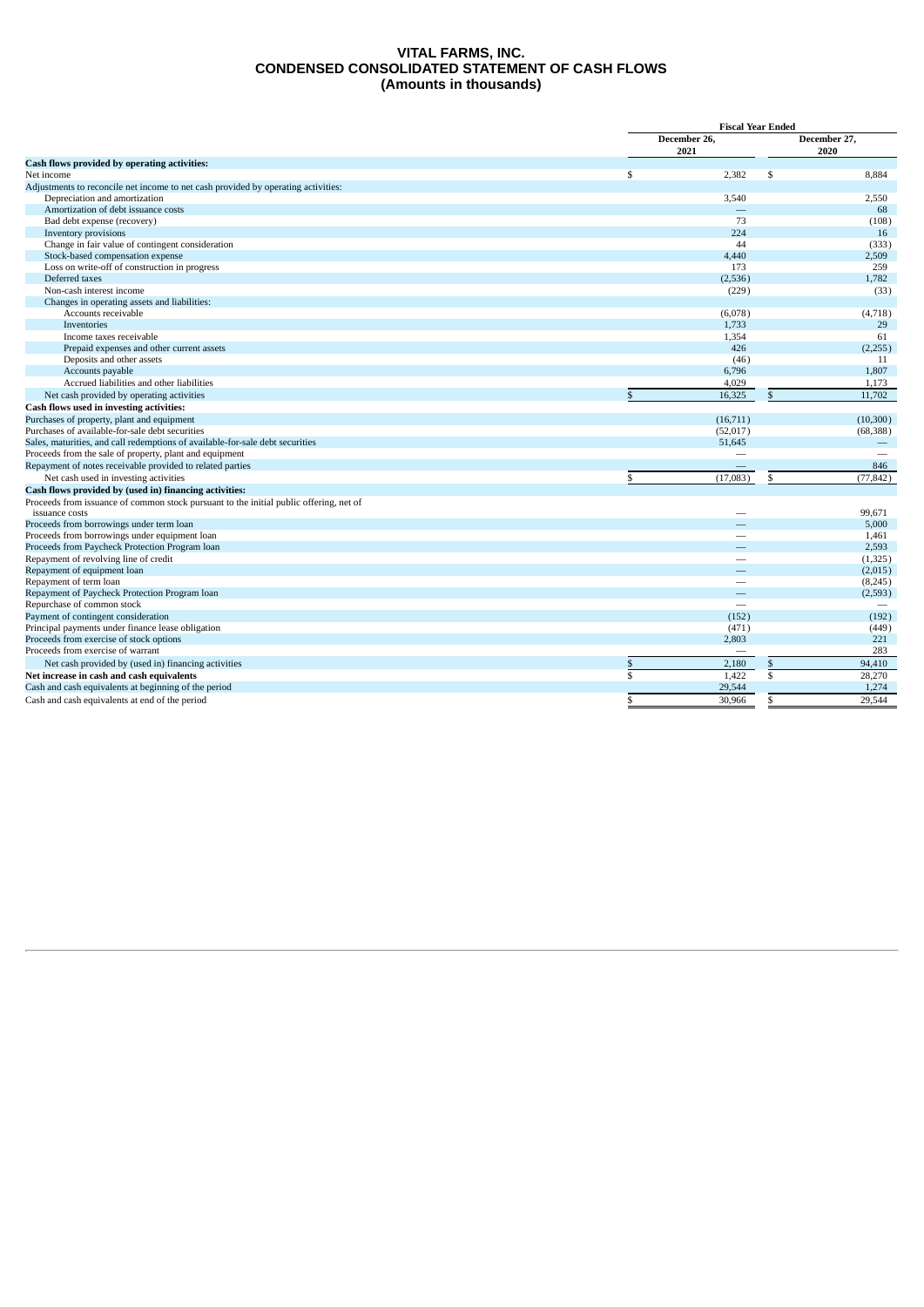#### **VITAL FARMS, INC. CONDENSED CONSOLIDATED STATEMENT OF CASH FLOWS (Amounts in thousands)**

|                                                                                                          | <b>Fiscal Year Ended</b> |                      |  |
|----------------------------------------------------------------------------------------------------------|--------------------------|----------------------|--|
|                                                                                                          | December 26,<br>2021     | December 27,<br>2020 |  |
| Cash flows provided by operating activities:                                                             |                          |                      |  |
| Net income                                                                                               | \$<br>2.382<br>\$        | 8.884                |  |
| Adjustments to reconcile net income to net cash provided by operating activities:                        |                          |                      |  |
| Depreciation and amortization                                                                            | 3,540                    | 2,550                |  |
| Amortization of debt issuance costs                                                                      |                          | 68                   |  |
| Bad debt expense (recovery)                                                                              | 73                       | (108)                |  |
| Inventory provisions                                                                                     | 224                      | 16                   |  |
| Change in fair value of contingent consideration                                                         | 44                       | (333)                |  |
| Stock-based compensation expense                                                                         | 4,440                    | 2,509                |  |
| Loss on write-off of construction in progress                                                            | 173                      | 259                  |  |
| Deferred taxes                                                                                           | (2,536)                  | 1,782                |  |
| Non-cash interest income                                                                                 | (229)                    | (33)                 |  |
| Changes in operating assets and liabilities:                                                             |                          |                      |  |
| Accounts receivable                                                                                      | (6,078)                  | (4,718)              |  |
| Inventories                                                                                              | 1,733                    | 29                   |  |
| Income taxes receivable                                                                                  | 1,354                    | 61                   |  |
| Prepaid expenses and other current assets                                                                | 426                      | (2,255)              |  |
| Deposits and other assets                                                                                | (46)                     | 11                   |  |
| Accounts payable                                                                                         | 6,796                    | 1,807                |  |
| Accrued liabilities and other liabilities                                                                | 4,029                    | 1,173                |  |
| Net cash provided by operating activities                                                                | 16,325<br>$\mathbb{S}$   | 11,702               |  |
| Cash flows used in investing activities:                                                                 |                          |                      |  |
| Purchases of property, plant and equipment                                                               | (16,711)                 | (10, 300)            |  |
| Purchases of available-for-sale debt securities                                                          | (52,017)                 | (68, 388)            |  |
| Sales, maturities, and call redemptions of available-for-sale debt securities                            | 51,645                   |                      |  |
| Proceeds from the sale of property, plant and equipment                                                  | -                        |                      |  |
| Repayment of notes receivable provided to related parties                                                |                          | 846                  |  |
| Net cash used in investing activities                                                                    | \$<br>(17,083)<br>\$     | (77.842)             |  |
| Cash flows provided by (used in) financing activities:                                                   |                          |                      |  |
| Proceeds from issuance of common stock pursuant to the initial public offering, net of<br>issuance costs |                          | 99.671               |  |
| Proceeds from borrowings under term loan                                                                 |                          | 5,000                |  |
| Proceeds from borrowings under equipment loan                                                            | -                        | 1,461                |  |
| Proceeds from Paycheck Protection Program loan                                                           |                          | 2,593                |  |
| Repayment of revolving line of credit                                                                    | -                        | (1, 325)             |  |
| Repayment of equipment loan                                                                              |                          | (2,015)              |  |
| Repayment of term loan                                                                                   | -                        | (8, 245)             |  |
| Repayment of Paycheck Protection Program loan                                                            |                          | (2,593)              |  |
| Repurchase of common stock                                                                               |                          |                      |  |
| Payment of contingent consideration                                                                      | (152)                    | (192)                |  |
| Principal payments under finance lease obligation                                                        | (471)                    | (449)                |  |
| Proceeds from exercise of stock options                                                                  | 2,803                    | 221                  |  |
| Proceeds from exercise of warrant                                                                        |                          | 283                  |  |
| Net cash provided by (used in) financing activities                                                      | \$<br>2,180<br>\$        | 94,410               |  |
| Net increase in cash and cash equivalents                                                                | \$<br>1.422<br>\$        | 28,270               |  |
| Cash and cash equivalents at beginning of the period                                                     | 29,544                   | 1,274                |  |
| Cash and cash equivalents at end of the period                                                           | \$<br>\$<br>30.966       | 29.544               |  |